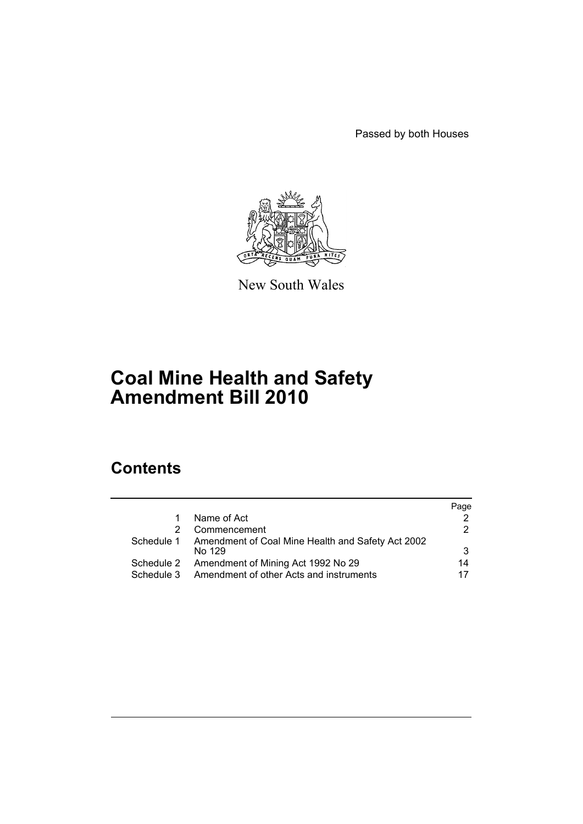Passed by both Houses



New South Wales

# **Coal Mine Health and Safety Amendment Bill 2010**

# **Contents**

|            |                                                                        | Page |
|------------|------------------------------------------------------------------------|------|
|            | Name of Act                                                            |      |
| 2          | Commencement                                                           | 2    |
|            | Schedule 1 Amendment of Coal Mine Health and Safety Act 2002<br>No 129 | 3    |
| Schedule 2 | Amendment of Mining Act 1992 No 29                                     | 14   |
| Schedule 3 | Amendment of other Acts and instruments                                | 17   |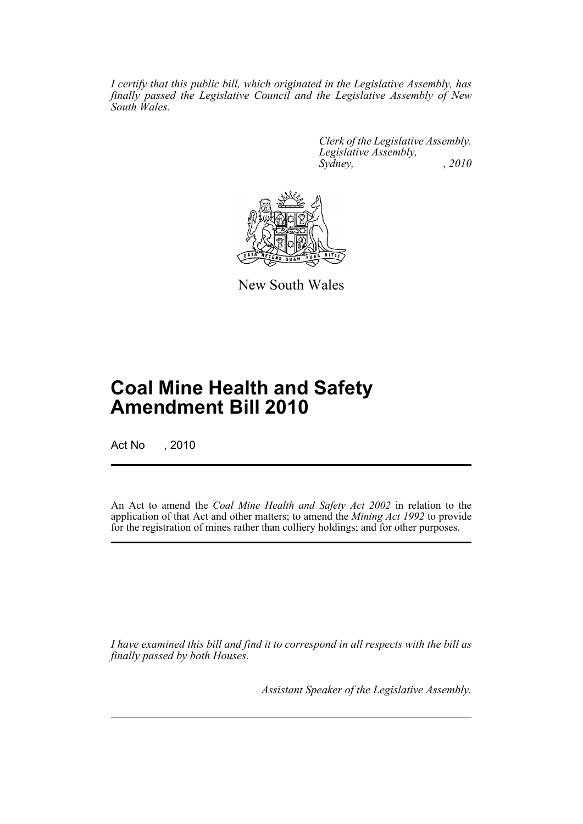*I certify that this public bill, which originated in the Legislative Assembly, has finally passed the Legislative Council and the Legislative Assembly of New South Wales.*

> *Clerk of the Legislative Assembly. Legislative Assembly, Sydney, , 2010*



New South Wales

# **Coal Mine Health and Safety Amendment Bill 2010**

Act No , 2010

An Act to amend the *Coal Mine Health and Safety Act 2002* in relation to the application of that Act and other matters; to amend the *Mining Act 1992* to provide for the registration of mines rather than colliery holdings; and for other purposes.

*I have examined this bill and find it to correspond in all respects with the bill as finally passed by both Houses.*

*Assistant Speaker of the Legislative Assembly.*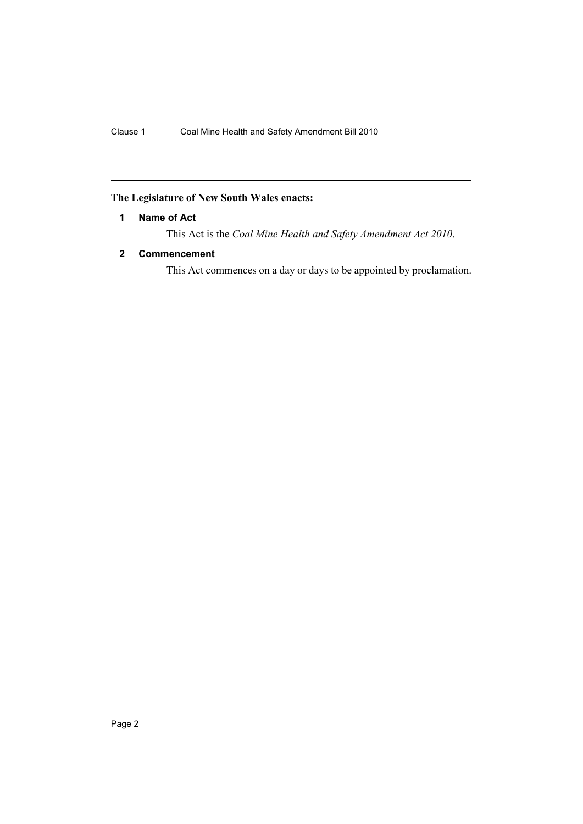# <span id="page-2-0"></span>**The Legislature of New South Wales enacts:**

# **1 Name of Act**

This Act is the *Coal Mine Health and Safety Amendment Act 2010*.

# <span id="page-2-1"></span>**2 Commencement**

This Act commences on a day or days to be appointed by proclamation.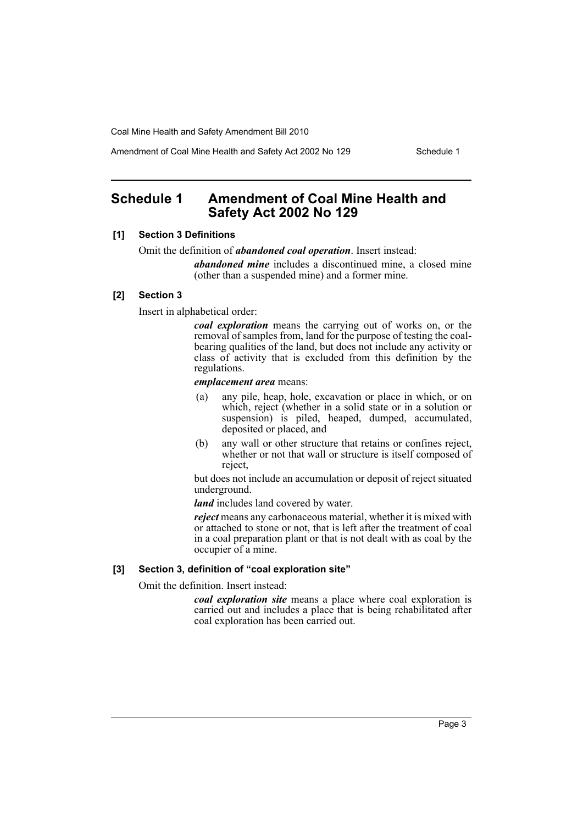Amendment of Coal Mine Health and Safety Act 2002 No 129 Schedule 1

# <span id="page-3-0"></span>**Schedule 1 Amendment of Coal Mine Health and Safety Act 2002 No 129**

### **[1] Section 3 Definitions**

Omit the definition of *abandoned coal operation*. Insert instead:

*abandoned mine* includes a discontinued mine, a closed mine (other than a suspended mine) and a former mine.

# **[2] Section 3**

Insert in alphabetical order:

*coal exploration* means the carrying out of works on, or the removal of samples from, land for the purpose of testing the coalbearing qualities of the land, but does not include any activity or class of activity that is excluded from this definition by the regulations.

*emplacement area* means:

- (a) any pile, heap, hole, excavation or place in which, or on which, reject (whether in a solid state or in a solution or suspension) is piled, heaped, dumped, accumulated, deposited or placed, and
- (b) any wall or other structure that retains or confines reject, whether or not that wall or structure is itself composed of reject,

but does not include an accumulation or deposit of reject situated underground.

*land* includes land covered by water.

*reject* means any carbonaceous material, whether it is mixed with or attached to stone or not, that is left after the treatment of coal in a coal preparation plant or that is not dealt with as coal by the occupier of a mine.

### **[3] Section 3, definition of "coal exploration site"**

Omit the definition. Insert instead:

*coal exploration site* means a place where coal exploration is carried out and includes a place that is being rehabilitated after coal exploration has been carried out.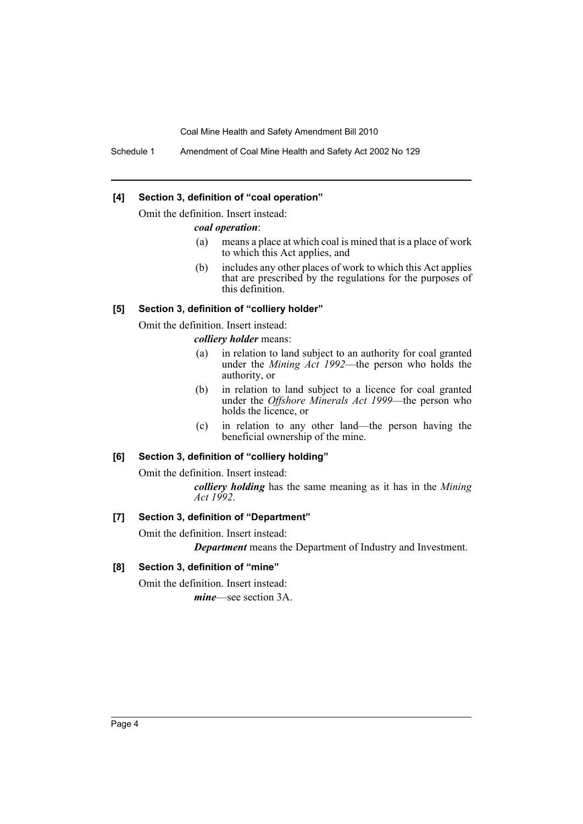## **[4] Section 3, definition of "coal operation"**

Omit the definition. Insert instead:

#### *coal operation*:

- (a) means a place at which coal is mined that is a place of work to which this Act applies, and
- (b) includes any other places of work to which this Act applies that are prescribed by the regulations for the purposes of this definition.

# **[5] Section 3, definition of "colliery holder"**

Omit the definition. Insert instead:

*colliery holder* means:

- (a) in relation to land subject to an authority for coal granted under the *Mining Act 1992*—the person who holds the authority, or
- (b) in relation to land subject to a licence for coal granted under the *Offshore Minerals Act 1999*—the person who holds the licence, or
- (c) in relation to any other land—the person having the beneficial ownership of the mine.

# **[6] Section 3, definition of "colliery holding"**

Omit the definition. Insert instead:

*colliery holding* has the same meaning as it has in the *Mining Act 1992*.

#### **[7] Section 3, definition of "Department"**

Omit the definition. Insert instead:

*Department* means the Department of Industry and Investment.

#### **[8] Section 3, definition of "mine"**

Omit the definition. Insert instead:

*mine*—see section 3A.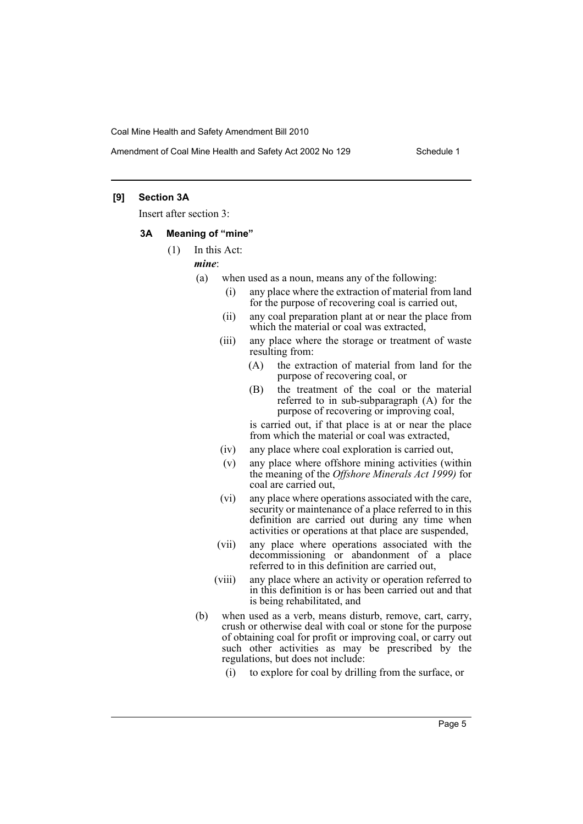## **[9] Section 3A**

Insert after section 3:

#### **3A Meaning of "mine"**

(1) In this Act:

### *mine*:

- (a) when used as a noun, means any of the following:
	- (i) any place where the extraction of material from land for the purpose of recovering coal is carried out,
	- (ii) any coal preparation plant at or near the place from which the material or coal was extracted,
	- (iii) any place where the storage or treatment of waste resulting from:
		- (A) the extraction of material from land for the purpose of recovering coal, or
		- (B) the treatment of the coal or the material referred to in sub-subparagraph (A) for the purpose of recovering or improving coal,

is carried out, if that place is at or near the place from which the material or coal was extracted,

- (iv) any place where coal exploration is carried out,
- (v) any place where offshore mining activities (within the meaning of the *Offshore Minerals Act 1999)* for coal are carried out,
- (vi) any place where operations associated with the care, security or maintenance of a place referred to in this definition are carried out during any time when activities or operations at that place are suspended,
- (vii) any place where operations associated with the decommissioning or abandonment of a place referred to in this definition are carried out,
- (viii) any place where an activity or operation referred to in this definition is or has been carried out and that is being rehabilitated, and
- (b) when used as a verb, means disturb, remove, cart, carry, crush or otherwise deal with coal or stone for the purpose of obtaining coal for profit or improving coal, or carry out such other activities as may be prescribed by the regulations, but does not include:
	- (i) to explore for coal by drilling from the surface, or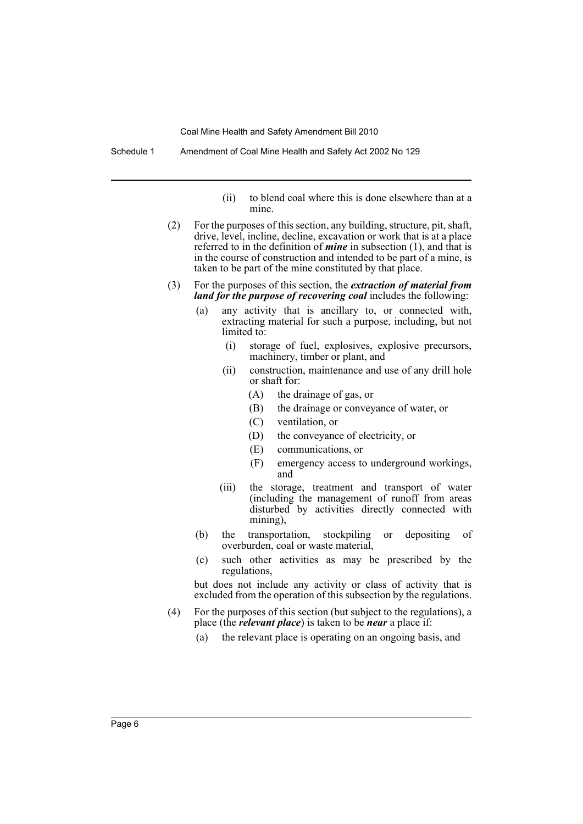Schedule 1 Amendment of Coal Mine Health and Safety Act 2002 No 129

- (ii) to blend coal where this is done elsewhere than at a mine.
- (2) For the purposes of this section, any building, structure, pit, shaft, drive, level, incline, decline, excavation or work that is at a place referred to in the definition of *mine* in subsection (1), and that is in the course of construction and intended to be part of a mine, is taken to be part of the mine constituted by that place.
- (3) For the purposes of this section, the *extraction of material from land for the purpose of recovering coal* includes the following:
	- (a) any activity that is ancillary to, or connected with, extracting material for such a purpose, including, but not limited to:
		- (i) storage of fuel, explosives, explosive precursors, machinery, timber or plant, and
		- (ii) construction, maintenance and use of any drill hole or shaft for:
			- (A) the drainage of gas, or
			- (B) the drainage or conveyance of water, or
			- (C) ventilation, or
			- (D) the conveyance of electricity, or
			- (E) communications, or
			- (F) emergency access to underground workings, and
		- (iii) the storage, treatment and transport of water (including the management of runoff from areas disturbed by activities directly connected with mining),
	- (b) the transportation, stockpiling or depositing of overburden, coal or waste material,
	- (c) such other activities as may be prescribed by the regulations,

but does not include any activity or class of activity that is excluded from the operation of this subsection by the regulations.

- (4) For the purposes of this section (but subject to the regulations), a place (the *relevant place*) is taken to be *near* a place if:
	- (a) the relevant place is operating on an ongoing basis, and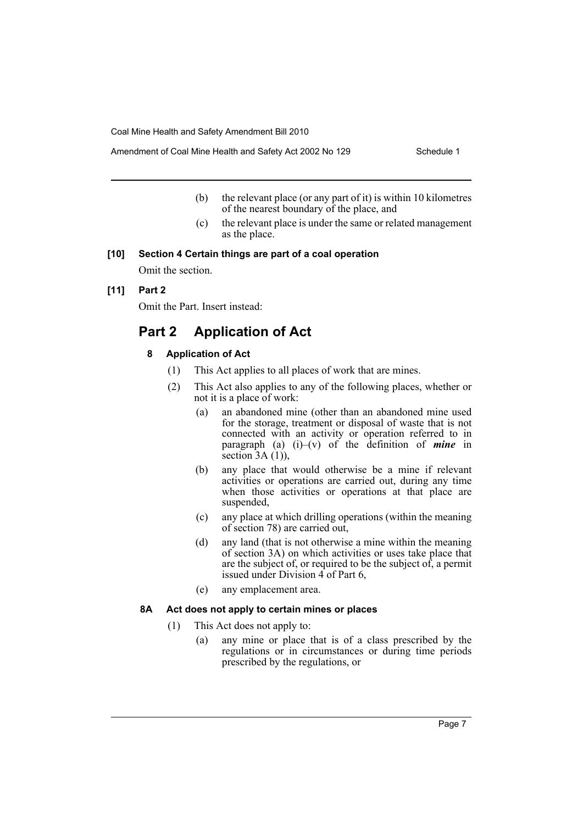- - (b) the relevant place (or any part of it) is within 10 kilometres of the nearest boundary of the place, and
	- (c) the relevant place is under the same or related management as the place.

#### **[10] Section 4 Certain things are part of a coal operation**

Omit the section.

**[11] Part 2**

Omit the Part. Insert instead:

# **Part 2 Application of Act**

#### **8 Application of Act**

- (1) This Act applies to all places of work that are mines.
- (2) This Act also applies to any of the following places, whether or not it is a place of work:
	- (a) an abandoned mine (other than an abandoned mine used for the storage, treatment or disposal of waste that is not connected with an activity or operation referred to in paragraph (a) (i)–(v) of the definition of *mine* in section  $3A(1)$ ,
	- (b) any place that would otherwise be a mine if relevant activities or operations are carried out, during any time when those activities or operations at that place are suspended,
	- (c) any place at which drilling operations (within the meaning of section 78) are carried out,
	- (d) any land (that is not otherwise a mine within the meaning of section 3A) on which activities or uses take place that are the subject of, or required to be the subject of, a permit issued under Division 4 of Part 6,
	- (e) any emplacement area.

#### **8A Act does not apply to certain mines or places**

- (1) This Act does not apply to:
	- (a) any mine or place that is of a class prescribed by the regulations or in circumstances or during time periods prescribed by the regulations, or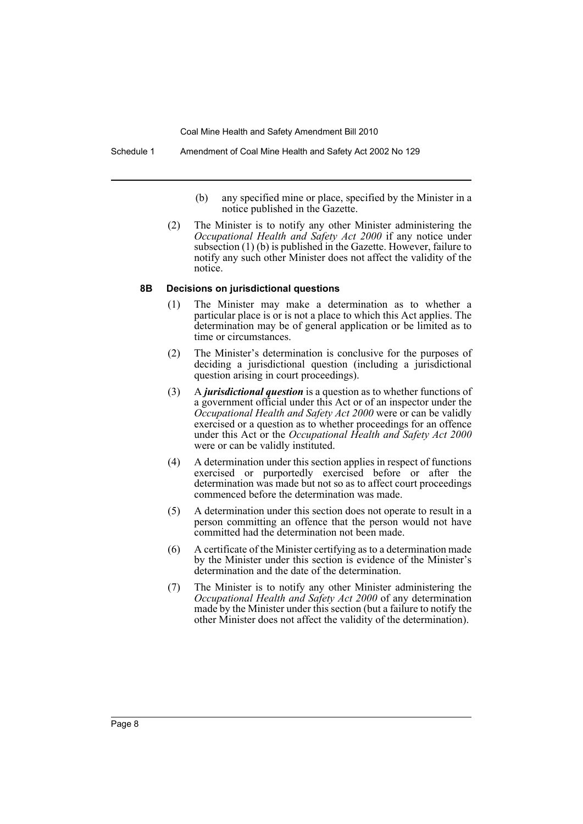Schedule 1 Amendment of Coal Mine Health and Safety Act 2002 No 129

- (b) any specified mine or place, specified by the Minister in a notice published in the Gazette.
- (2) The Minister is to notify any other Minister administering the *Occupational Health and Safety Act 2000* if any notice under subsection (1) (b) is published in the Gazette. However, failure to notify any such other Minister does not affect the validity of the notice.

#### **8B Decisions on jurisdictional questions**

- (1) The Minister may make a determination as to whether a particular place is or is not a place to which this Act applies. The determination may be of general application or be limited as to time or circumstances.
- (2) The Minister's determination is conclusive for the purposes of deciding a jurisdictional question (including a jurisdictional question arising in court proceedings).
- (3) A *jurisdictional question* is a question as to whether functions of a government official under this Act or of an inspector under the *Occupational Health and Safety Act 2000* were or can be validly exercised or a question as to whether proceedings for an offence under this Act or the *Occupational Health and Safety Act 2000* were or can be validly instituted.
- (4) A determination under this section applies in respect of functions exercised or purportedly exercised before or after the determination was made but not so as to affect court proceedings commenced before the determination was made.
- (5) A determination under this section does not operate to result in a person committing an offence that the person would not have committed had the determination not been made.
- (6) A certificate of the Minister certifying as to a determination made by the Minister under this section is evidence of the Minister's determination and the date of the determination.
- (7) The Minister is to notify any other Minister administering the *Occupational Health and Safety Act 2000* of any determination made by the Minister under this section (but a failure to notify the other Minister does not affect the validity of the determination).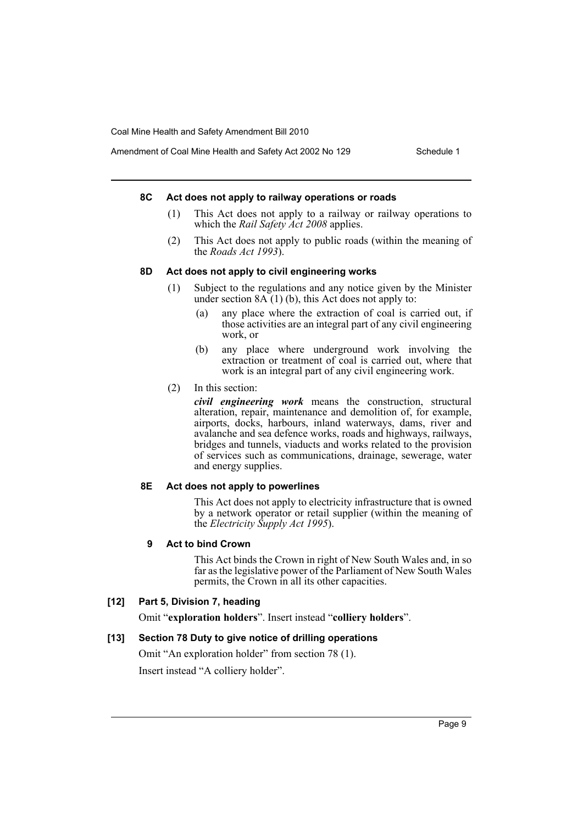#### **8C Act does not apply to railway operations or roads**

- (1) This Act does not apply to a railway or railway operations to which the *Rail Safety Act 2008* applies.
- (2) This Act does not apply to public roads (within the meaning of the *Roads Act 1993*).

#### **8D Act does not apply to civil engineering works**

- (1) Subject to the regulations and any notice given by the Minister under section 8A (1) (b), this Act does not apply to:
	- (a) any place where the extraction of coal is carried out, if those activities are an integral part of any civil engineering work, or
	- (b) any place where underground work involving the extraction or treatment of coal is carried out, where that work is an integral part of any civil engineering work.
- (2) In this section:

*civil engineering work* means the construction, structural alteration, repair, maintenance and demolition of, for example, airports, docks, harbours, inland waterways, dams, river and avalanche and sea defence works, roads and highways, railways, bridges and tunnels, viaducts and works related to the provision of services such as communications, drainage, sewerage, water and energy supplies.

### **8E Act does not apply to powerlines**

This Act does not apply to electricity infrastructure that is owned by a network operator or retail supplier (within the meaning of the *Electricity Supply Act 1995*).

#### **9 Act to bind Crown**

This Act binds the Crown in right of New South Wales and, in so far as the legislative power of the Parliament of New South Wales permits, the Crown in all its other capacities.

#### **[12] Part 5, Division 7, heading**

Omit "**exploration holders**". Insert instead "**colliery holders**".

# **[13] Section 78 Duty to give notice of drilling operations**

Omit "An exploration holder" from section 78 (1). Insert instead "A colliery holder".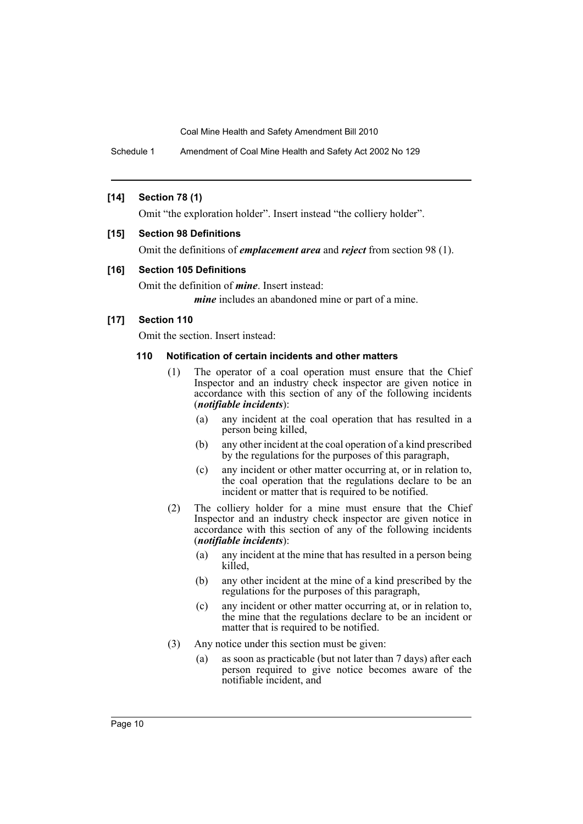Schedule 1 Amendment of Coal Mine Health and Safety Act 2002 No 129

## **[14] Section 78 (1)**

Omit "the exploration holder". Insert instead "the colliery holder".

#### **[15] Section 98 Definitions**

Omit the definitions of *emplacement area* and *reject* from section 98 (1).

## **[16] Section 105 Definitions**

Omit the definition of *mine*. Insert instead: *mine* includes an abandoned mine or part of a mine.

## **[17] Section 110**

Omit the section. Insert instead:

#### **110 Notification of certain incidents and other matters**

- (1) The operator of a coal operation must ensure that the Chief Inspector and an industry check inspector are given notice in accordance with this section of any of the following incidents (*notifiable incidents*):
	- (a) any incident at the coal operation that has resulted in a person being killed,
	- (b) any other incident at the coal operation of a kind prescribed by the regulations for the purposes of this paragraph,
	- (c) any incident or other matter occurring at, or in relation to, the coal operation that the regulations declare to be an incident or matter that is required to be notified.
- (2) The colliery holder for a mine must ensure that the Chief Inspector and an industry check inspector are given notice in accordance with this section of any of the following incidents (*notifiable incidents*):
	- (a) any incident at the mine that has resulted in a person being killed,
	- (b) any other incident at the mine of a kind prescribed by the regulations for the purposes of this paragraph,
	- (c) any incident or other matter occurring at, or in relation to, the mine that the regulations declare to be an incident or matter that is required to be notified.
- (3) Any notice under this section must be given:
	- (a) as soon as practicable (but not later than 7 days) after each person required to give notice becomes aware of the notifiable incident, and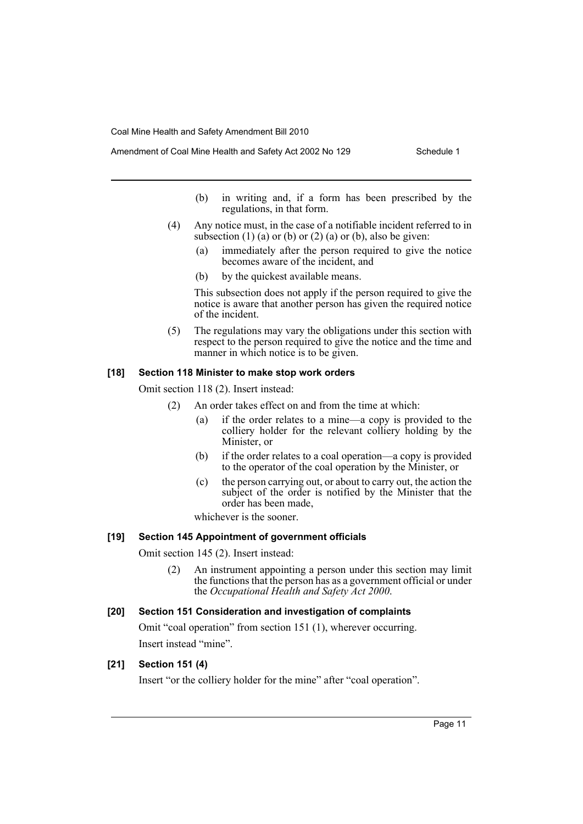- (b) in writing and, if a form has been prescribed by the regulations, in that form.
- (4) Any notice must, in the case of a notifiable incident referred to in subsection (1) (a) or (b) or (2) (a) or (b), also be given:
	- (a) immediately after the person required to give the notice becomes aware of the incident, and
	- (b) by the quickest available means.

This subsection does not apply if the person required to give the notice is aware that another person has given the required notice of the incident.

(5) The regulations may vary the obligations under this section with respect to the person required to give the notice and the time and manner in which notice is to be given.

#### **[18] Section 118 Minister to make stop work orders**

Omit section 118 (2). Insert instead:

- (2) An order takes effect on and from the time at which:
	- (a) if the order relates to a mine—a copy is provided to the colliery holder for the relevant colliery holding by the Minister, or
	- (b) if the order relates to a coal operation—a copy is provided to the operator of the coal operation by the Minister, or
	- (c) the person carrying out, or about to carry out, the action the subject of the order is notified by the Minister that the order has been made,

whichever is the sooner.

#### **[19] Section 145 Appointment of government officials**

Omit section 145 (2). Insert instead:

(2) An instrument appointing a person under this section may limit the functions that the person has as a government official or under the *Occupational Health and Safety Act 2000*.

#### **[20] Section 151 Consideration and investigation of complaints**

Omit "coal operation" from section 151 (1), wherever occurring. Insert instead "mine".

#### **[21] Section 151 (4)**

Insert "or the colliery holder for the mine" after "coal operation".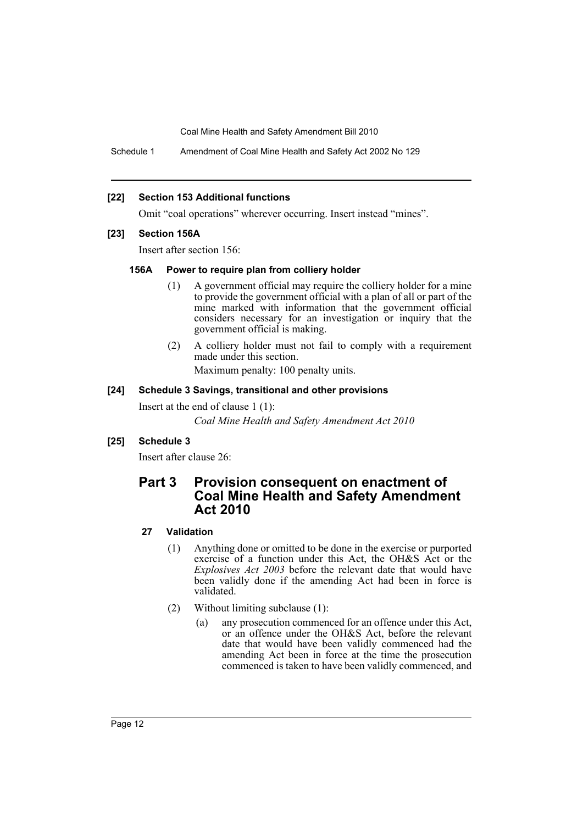Schedule 1 Amendment of Coal Mine Health and Safety Act 2002 No 129

# **[22] Section 153 Additional functions**

Omit "coal operations" wherever occurring. Insert instead "mines".

## **[23] Section 156A**

Insert after section 156:

## **156A Power to require plan from colliery holder**

- (1) A government official may require the colliery holder for a mine to provide the government official with a plan of all or part of the mine marked with information that the government official considers necessary for an investigation or inquiry that the government official is making.
- (2) A colliery holder must not fail to comply with a requirement made under this section.

Maximum penalty: 100 penalty units.

# **[24] Schedule 3 Savings, transitional and other provisions**

Insert at the end of clause 1 (1):

*Coal Mine Health and Safety Amendment Act 2010*

# **[25] Schedule 3**

Insert after clause 26:

# **Part 3 Provision consequent on enactment of Coal Mine Health and Safety Amendment Act 2010**

# **27 Validation**

- (1) Anything done or omitted to be done in the exercise or purported exercise of a function under this Act, the OH&S Act or the *Explosives Act 2003* before the relevant date that would have been validly done if the amending Act had been in force is validated.
- (2) Without limiting subclause (1):
	- (a) any prosecution commenced for an offence under this Act, or an offence under the OH&S Act, before the relevant date that would have been validly commenced had the amending Act been in force at the time the prosecution commenced is taken to have been validly commenced, and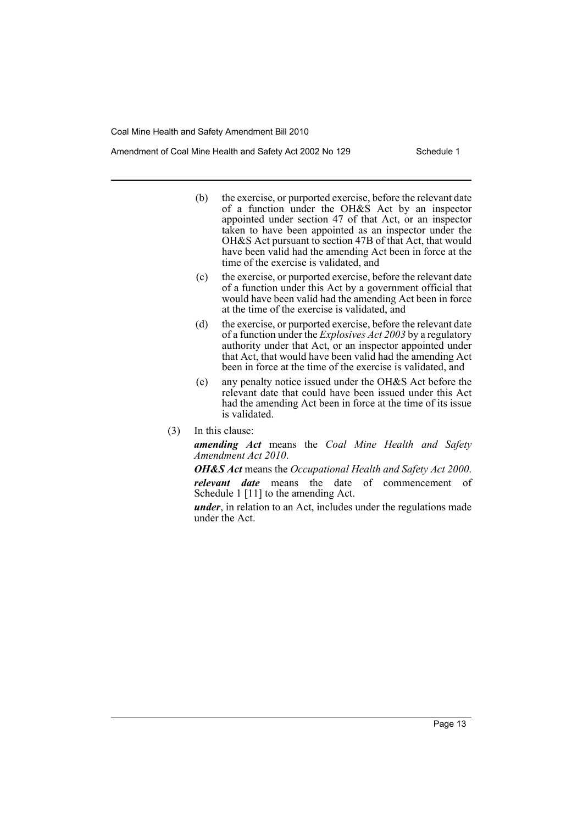- (b) the exercise, or purported exercise, before the relevant date of a function under the OH&S Act by an inspector appointed under section 47 of that Act, or an inspector taken to have been appointed as an inspector under the OH&S Act pursuant to section 47B of that Act, that would have been valid had the amending Act been in force at the time of the exercise is validated, and
- (c) the exercise, or purported exercise, before the relevant date of a function under this Act by a government official that would have been valid had the amending Act been in force at the time of the exercise is validated, and
- (d) the exercise, or purported exercise, before the relevant date of a function under the *Explosives Act 2003* by a regulatory authority under that Act, or an inspector appointed under that Act, that would have been valid had the amending Act been in force at the time of the exercise is validated, and
- (e) any penalty notice issued under the OH&S Act before the relevant date that could have been issued under this Act had the amending Act been in force at the time of its issue is validated.

(3) In this clause:

*amending Act* means the *Coal Mine Health and Safety Amendment Act 2010*.

*OH&S Act* means the *Occupational Health and Safety Act 2000*. *relevant date* means the date of commencement of Schedule 1 [11] to the amending Act.

*under*, in relation to an Act, includes under the regulations made under the Act.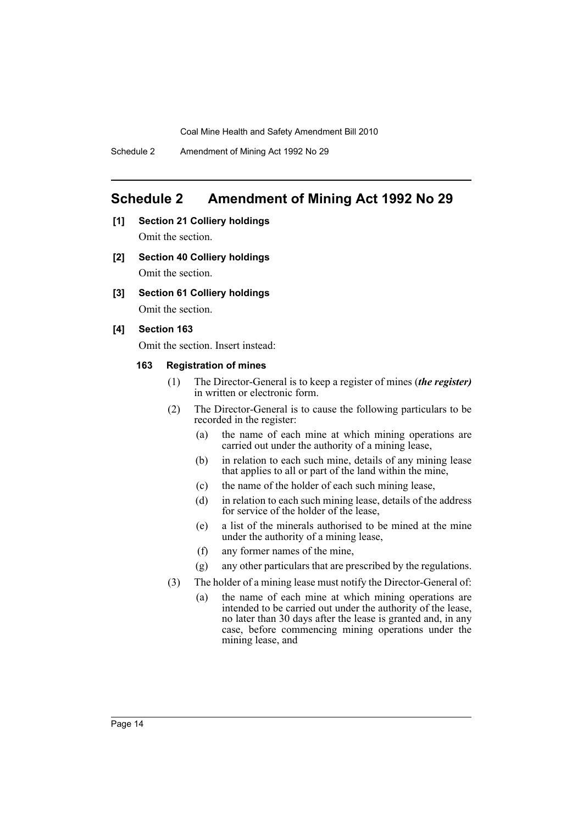Schedule 2 Amendment of Mining Act 1992 No 29

# <span id="page-14-0"></span>**Schedule 2 Amendment of Mining Act 1992 No 29**

- **[1] Section 21 Colliery holdings** Omit the section.
- **[2] Section 40 Colliery holdings** Omit the section.
- **[3] Section 61 Colliery holdings**

Omit the section.

## **[4] Section 163**

Omit the section. Insert instead:

#### **163 Registration of mines**

- (1) The Director-General is to keep a register of mines (*the register)* in written or electronic form.
- (2) The Director-General is to cause the following particulars to be recorded in the register:
	- (a) the name of each mine at which mining operations are carried out under the authority of a mining lease,
	- (b) in relation to each such mine, details of any mining lease that applies to all or part of the land within the mine,
	- (c) the name of the holder of each such mining lease,
	- (d) in relation to each such mining lease, details of the address for service of the holder of the lease,
	- (e) a list of the minerals authorised to be mined at the mine under the authority of a mining lease,
	- (f) any former names of the mine,
	- (g) any other particulars that are prescribed by the regulations.
- (3) The holder of a mining lease must notify the Director-General of:
	- (a) the name of each mine at which mining operations are intended to be carried out under the authority of the lease, no later than 30 days after the lease is granted and, in any case, before commencing mining operations under the mining lease, and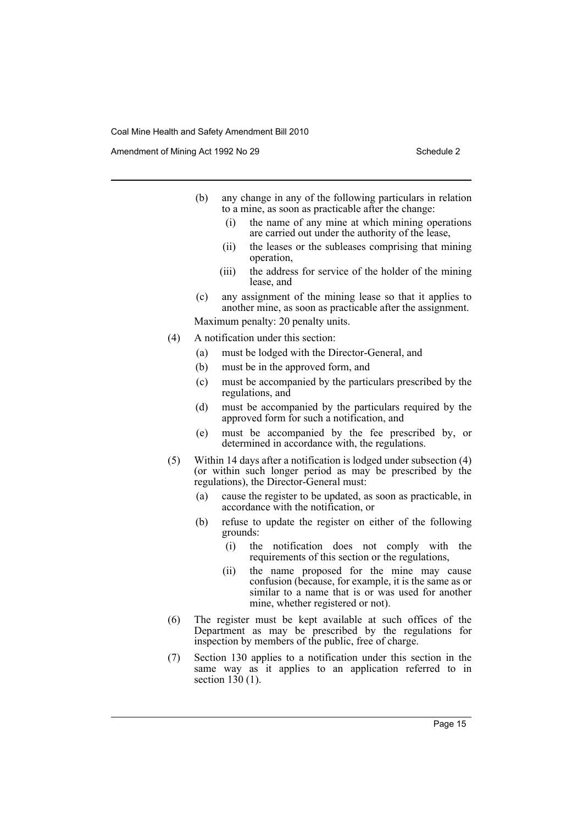Amendment of Mining Act 1992 No 29 Schedule 2

- (b) any change in any of the following particulars in relation to a mine, as soon as practicable after the change:
	- (i) the name of any mine at which mining operations are carried out under the authority of the lease,
	- (ii) the leases or the subleases comprising that mining operation,
	- (iii) the address for service of the holder of the mining lease, and
- (c) any assignment of the mining lease so that it applies to another mine, as soon as practicable after the assignment.

Maximum penalty: 20 penalty units.

- (4) A notification under this section:
	- (a) must be lodged with the Director-General, and
	- (b) must be in the approved form, and
	- (c) must be accompanied by the particulars prescribed by the regulations, and
	- (d) must be accompanied by the particulars required by the approved form for such a notification, and
	- (e) must be accompanied by the fee prescribed by, or determined in accordance with, the regulations.
- (5) Within 14 days after a notification is lodged under subsection (4) (or within such longer period as may be prescribed by the regulations), the Director-General must:
	- (a) cause the register to be updated, as soon as practicable, in accordance with the notification, or
	- (b) refuse to update the register on either of the following grounds:
		- (i) the notification does not comply with the requirements of this section or the regulations,
		- (ii) the name proposed for the mine may cause confusion (because, for example, it is the same as or similar to a name that is or was used for another mine, whether registered or not).
- (6) The register must be kept available at such offices of the Department as may be prescribed by the regulations for inspection by members of the public, free of charge.
- (7) Section 130 applies to a notification under this section in the same way as it applies to an application referred to in section  $130(1)$ .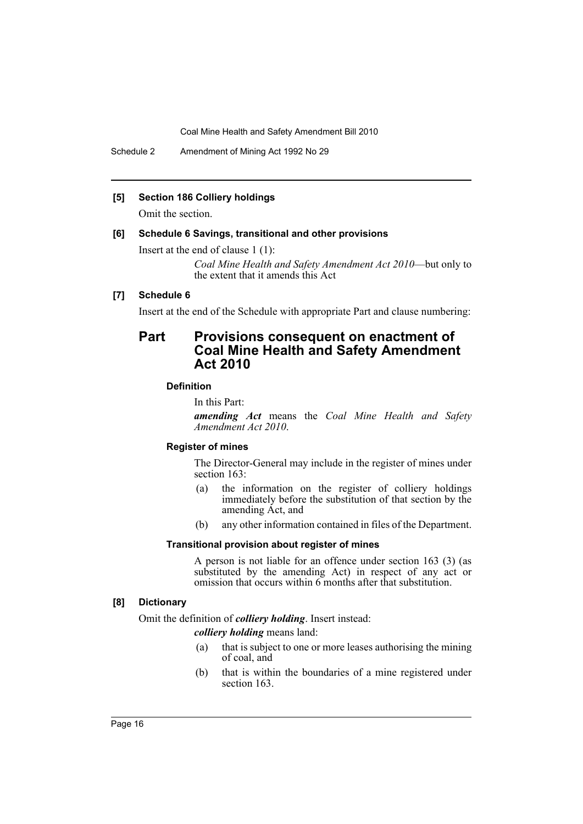Schedule 2 Amendment of Mining Act 1992 No 29

# **[5] Section 186 Colliery holdings**

Omit the section.

#### **[6] Schedule 6 Savings, transitional and other provisions**

Insert at the end of clause 1 (1):

*Coal Mine Health and Safety Amendment Act 2010*—but only to the extent that it amends this Act

# **[7] Schedule 6**

Insert at the end of the Schedule with appropriate Part and clause numbering:

# **Part Provisions consequent on enactment of Coal Mine Health and Safety Amendment Act 2010**

# **Definition**

In this Part:

*amending Act* means the *Coal Mine Health and Safety Amendment Act 2010*.

#### **Register of mines**

The Director-General may include in the register of mines under section 163:

- (a) the information on the register of colliery holdings immediately before the substitution of that section by the amending Act, and
- (b) any other information contained in files of the Department.

# **Transitional provision about register of mines**

A person is not liable for an offence under section 163 (3) (as substituted by the amending Act) in respect of any act or omission that occurs within 6 months after that substitution.

# **[8] Dictionary**

Omit the definition of *colliery holding*. Insert instead:

*colliery holding* means land:

- (a) that is subject to one or more leases authorising the mining of coal, and
- (b) that is within the boundaries of a mine registered under section 163.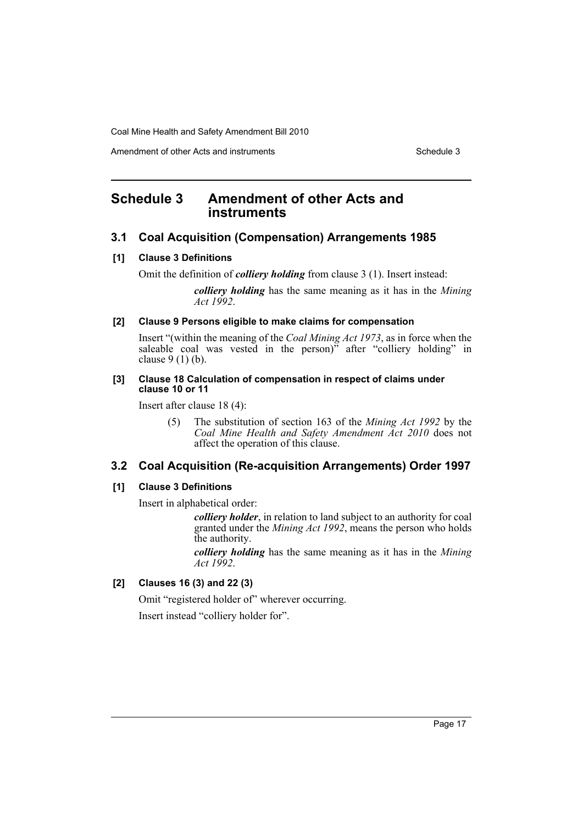Amendment of other Acts and instruments Schedule 3

# <span id="page-17-0"></span>**Schedule 3 Amendment of other Acts and instruments**

# **3.1 Coal Acquisition (Compensation) Arrangements 1985**

# **[1] Clause 3 Definitions**

Omit the definition of *colliery holding* from clause 3 (1). Insert instead:

*colliery holding* has the same meaning as it has in the *Mining Act 1992*.

## **[2] Clause 9 Persons eligible to make claims for compensation**

Insert "(within the meaning of the *Coal Mining Act 1973*, as in force when the saleable coal was vested in the person)" after "colliery holding" in clause 9 (1) (b).

### **[3] Clause 18 Calculation of compensation in respect of claims under clause 10 or 11**

Insert after clause 18 (4):

(5) The substitution of section 163 of the *Mining Act 1992* by the *Coal Mine Health and Safety Amendment Act 2010* does not affect the operation of this clause.

# **3.2 Coal Acquisition (Re-acquisition Arrangements) Order 1997**

# **[1] Clause 3 Definitions**

Insert in alphabetical order:

*colliery holder*, in relation to land subject to an authority for coal granted under the *Mining Act 1992*, means the person who holds the authority.

*colliery holding* has the same meaning as it has in the *Mining Act 1992*.

# **[2] Clauses 16 (3) and 22 (3)**

Omit "registered holder of" wherever occurring.

Insert instead "colliery holder for".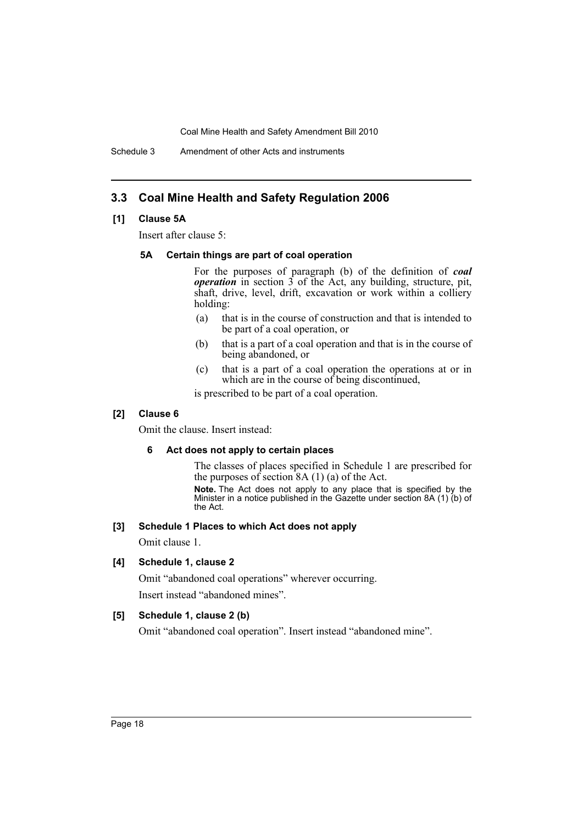Schedule 3 Amendment of other Acts and instruments

# **3.3 Coal Mine Health and Safety Regulation 2006**

#### **[1] Clause 5A**

Insert after clause 5:

#### **5A Certain things are part of coal operation**

For the purposes of paragraph (b) of the definition of *coal operation* in section 3 of the Act, any building, structure, pit, shaft, drive, level, drift, excavation or work within a colliery holding:

- (a) that is in the course of construction and that is intended to be part of a coal operation, or
- (b) that is a part of a coal operation and that is in the course of being abandoned, or
- (c) that is a part of a coal operation the operations at or in which are in the course of being discontinued,

is prescribed to be part of a coal operation.

# **[2] Clause 6**

Omit the clause. Insert instead:

#### **6 Act does not apply to certain places**

The classes of places specified in Schedule 1 are prescribed for the purposes of section  $8A(1)(a)$  of the Act.

**Note.** The Act does not apply to any place that is specified by the Minister in a notice published in the Gazette under section 8A (1) (b) of the Act.

#### **[3] Schedule 1 Places to which Act does not apply**

Omit clause 1.

#### **[4] Schedule 1, clause 2**

Omit "abandoned coal operations" wherever occurring.

Insert instead "abandoned mines".

## **[5] Schedule 1, clause 2 (b)**

Omit "abandoned coal operation". Insert instead "abandoned mine".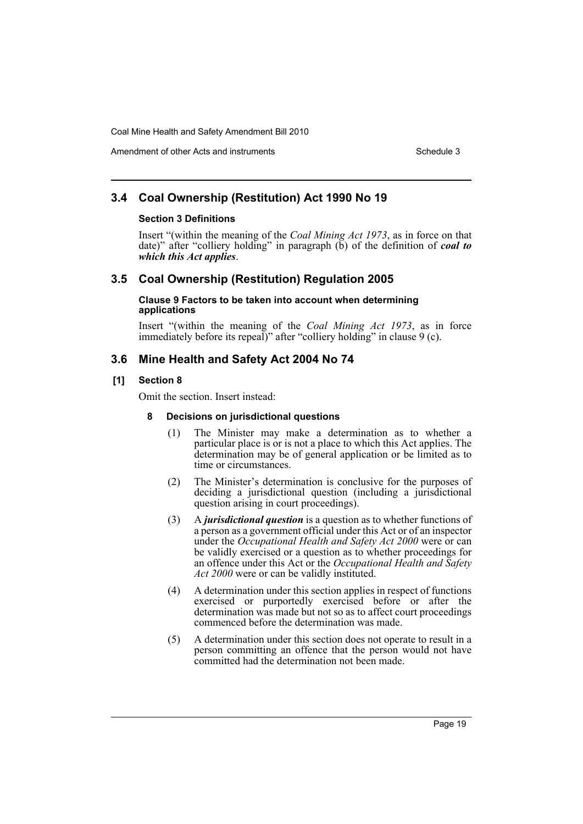Amendment of other Acts and instruments Schedule 3

# **3.4 Coal Ownership (Restitution) Act 1990 No 19**

## **Section 3 Definitions**

Insert "(within the meaning of the *Coal Mining Act 1973*, as in force on that date)" after "colliery holding" in paragraph (b) of the definition of *coal to which this Act applies*.

# **3.5 Coal Ownership (Restitution) Regulation 2005**

### **Clause 9 Factors to be taken into account when determining applications**

Insert "(within the meaning of the *Coal Mining Act 1973*, as in force immediately before its repeal)" after "colliery holding" in clause 9 (c).

# **3.6 Mine Health and Safety Act 2004 No 74**

# **[1] Section 8**

Omit the section. Insert instead:

# **8 Decisions on jurisdictional questions**

- (1) The Minister may make a determination as to whether a particular place is or is not a place to which this Act applies. The determination may be of general application or be limited as to time or circumstances.
- (2) The Minister's determination is conclusive for the purposes of deciding a jurisdictional question (including a jurisdictional question arising in court proceedings).
- (3) A *jurisdictional question* is a question as to whether functions of a person as a government official under this Act or of an inspector under the *Occupational Health and Safety Act 2000* were or can be validly exercised or a question as to whether proceedings for an offence under this Act or the *Occupational Health and Safety Act 2000* were or can be validly instituted.
- (4) A determination under this section applies in respect of functions exercised or purportedly exercised before or after the determination was made but not so as to affect court proceedings commenced before the determination was made.
- (5) A determination under this section does not operate to result in a person committing an offence that the person would not have committed had the determination not been made.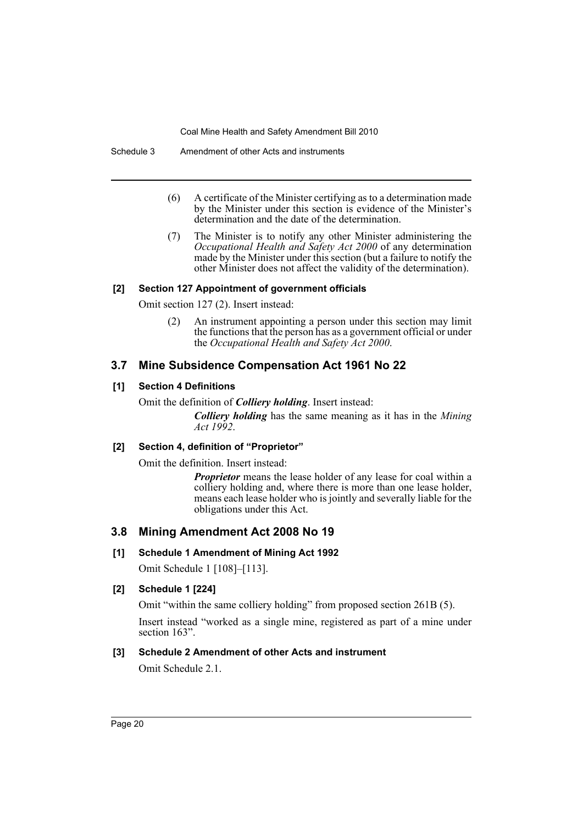- (6) A certificate of the Minister certifying as to a determination made by the Minister under this section is evidence of the Minister's determination and the date of the determination.
- (7) The Minister is to notify any other Minister administering the *Occupational Health and Safety Act 2000* of any determination made by the Minister under this section (but a failure to notify the other Minister does not affect the validity of the determination).

# **[2] Section 127 Appointment of government officials**

Omit section 127 (2). Insert instead:

(2) An instrument appointing a person under this section may limit the functions that the person has as a government official or under the *Occupational Health and Safety Act 2000*.

# **3.7 Mine Subsidence Compensation Act 1961 No 22**

# **[1] Section 4 Definitions**

Omit the definition of *Colliery holding*. Insert instead:

*Colliery holding* has the same meaning as it has in the *Mining Act 1992*.

# **[2] Section 4, definition of "Proprietor"**

Omit the definition. Insert instead:

*Proprietor* means the lease holder of any lease for coal within a colliery holding and, where there is more than one lease holder, means each lease holder who is jointly and severally liable for the obligations under this Act.

# **3.8 Mining Amendment Act 2008 No 19**

# **[1] Schedule 1 Amendment of Mining Act 1992**

Omit Schedule 1 [108]–[113].

# **[2] Schedule 1 [224]**

Omit "within the same colliery holding" from proposed section 261B (5).

Insert instead "worked as a single mine, registered as part of a mine under section 163".

# **[3] Schedule 2 Amendment of other Acts and instrument**

Omit Schedule 2.1.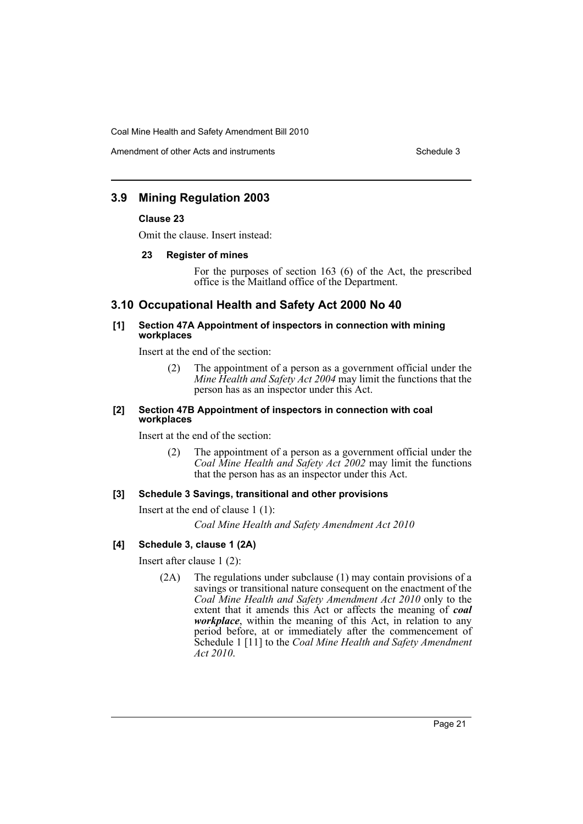Amendment of other Acts and instruments Schedule 3

# **3.9 Mining Regulation 2003**

### **Clause 23**

Omit the clause. Insert instead:

## **23 Register of mines**

For the purposes of section 163 (6) of the Act, the prescribed office is the Maitland office of the Department.

# **3.10 Occupational Health and Safety Act 2000 No 40**

### **[1] Section 47A Appointment of inspectors in connection with mining workplaces**

Insert at the end of the section:

(2) The appointment of a person as a government official under the *Mine Health and Safety Act 2004* may limit the functions that the person has as an inspector under this Act.

#### **[2] Section 47B Appointment of inspectors in connection with coal workplaces**

Insert at the end of the section:

(2) The appointment of a person as a government official under the *Coal Mine Health and Safety Act 2002* may limit the functions that the person has as an inspector under this Act.

# **[3] Schedule 3 Savings, transitional and other provisions**

Insert at the end of clause 1 (1):

*Coal Mine Health and Safety Amendment Act 2010*

# **[4] Schedule 3, clause 1 (2A)**

Insert after clause 1 (2):

(2A) The regulations under subclause (1) may contain provisions of a savings or transitional nature consequent on the enactment of the *Coal Mine Health and Safety Amendment Act 2010* only to the extent that it amends this Act or affects the meaning of *coal workplace*, within the meaning of this Act, in relation to any period before, at or immediately after the commencement of Schedule 1 [11] to the *Coal Mine Health and Safety Amendment Act 2010*.